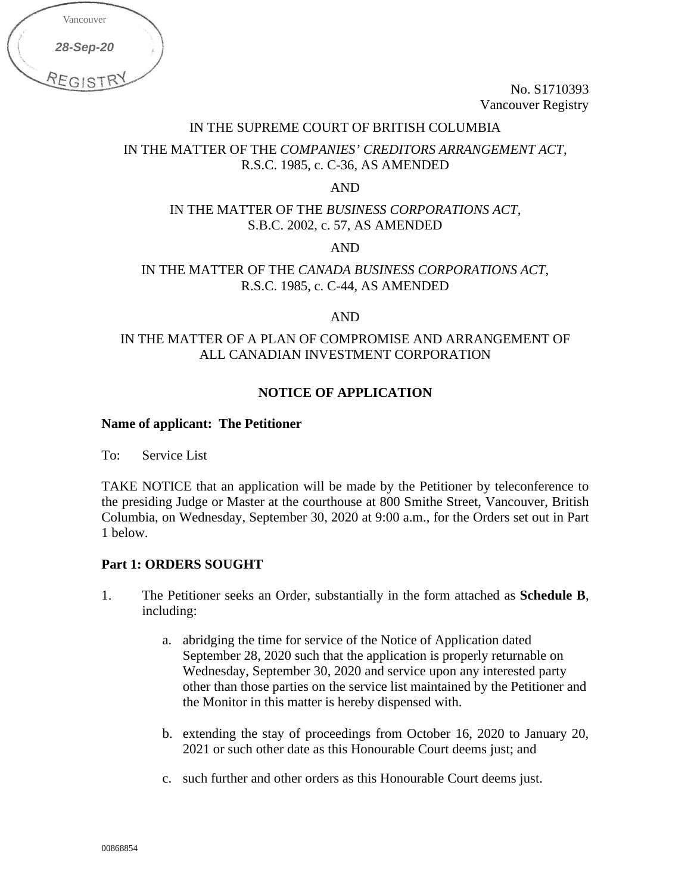| Vancouver |  |
|-----------|--|
| 28-Sep-20 |  |
| REGIST    |  |

No. S1710393 Vancouver Registry

#### IN THE SUPREME COURT OF BRITISH COLUMBIA

# IN THE MATTER OF THE *COMPANIES' CREDITORS ARRANGEMENT ACT,* R.S.C. 1985, c. C-36, AS AMENDED

AND

# IN THE MATTER OF THE *BUSINESS CORPORATIONS ACT*, S.B.C. 2002, c. 57, AS AMENDED

AND

# IN THE MATTER OF THE *CANADA BUSINESS CORPORATIONS ACT*, R.S.C. 1985, c. C-44, AS AMENDED

AND

# IN THE MATTER OF A PLAN OF COMPROMISE AND ARRANGEMENT OF ALL CANADIAN INVESTMENT CORPORATION

# **NOTICE OF APPLICATION**

### **Name of applicant: The Petitioner**

To: Service List

TAKE NOTICE that an application will be made by the Petitioner by teleconference to the presiding Judge or Master at the courthouse at 800 Smithe Street, Vancouver, British Columbia, on Wednesday, September 30, 2020 at 9:00 a.m., for the Orders set out in Part 1 below.

### **Part 1: ORDERS SOUGHT**

- 1. The Petitioner seeks an Order, substantially in the form attached as **Schedule B**, including:
	- a. abridging the time for service of the Notice of Application dated September 28, 2020 such that the application is properly returnable on Wednesday, September 30, 2020 and service upon any interested party other than those parties on the service list maintained by the Petitioner and the Monitor in this matter is hereby dispensed with.
	- b. extending the stay of proceedings from October 16, 2020 to January 20, 2021 or such other date as this Honourable Court deems just; and
	- c. such further and other orders as this Honourable Court deems just.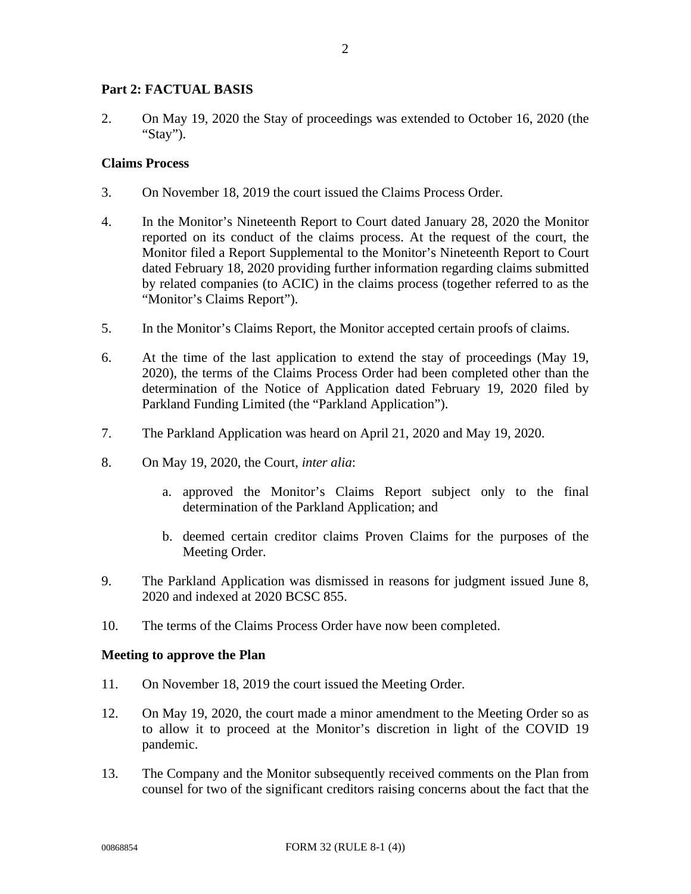### **Part 2: FACTUAL BASIS**

2. On May 19, 2020 the Stay of proceedings was extended to October 16, 2020 (the "Stay").

### **Claims Process**

- 3. On November 18, 2019 the court issued the Claims Process Order.
- 4. In the Monitor's Nineteenth Report to Court dated January 28, 2020 the Monitor reported on its conduct of the claims process. At the request of the court, the Monitor filed a Report Supplemental to the Monitor's Nineteenth Report to Court dated February 18, 2020 providing further information regarding claims submitted by related companies (to ACIC) in the claims process (together referred to as the "Monitor's Claims Report").
- 5. In the Monitor's Claims Report, the Monitor accepted certain proofs of claims.
- 6. At the time of the last application to extend the stay of proceedings (May 19, 2020), the terms of the Claims Process Order had been completed other than the determination of the Notice of Application dated February 19, 2020 filed by Parkland Funding Limited (the "Parkland Application").
- 7. The Parkland Application was heard on April 21, 2020 and May 19, 2020.
- 8. On May 19, 2020, the Court, *inter alia*:
	- a. approved the Monitor's Claims Report subject only to the final determination of the Parkland Application; and
	- b. deemed certain creditor claims Proven Claims for the purposes of the Meeting Order.
- 9. The Parkland Application was dismissed in reasons for judgment issued June 8, 2020 and indexed at 2020 BCSC 855.
- 10. The terms of the Claims Process Order have now been completed.

#### **Meeting to approve the Plan**

- 11. On November 18, 2019 the court issued the Meeting Order.
- 12. On May 19, 2020, the court made a minor amendment to the Meeting Order so as to allow it to proceed at the Monitor's discretion in light of the COVID 19 pandemic.
- 13. The Company and the Monitor subsequently received comments on the Plan from counsel for two of the significant creditors raising concerns about the fact that the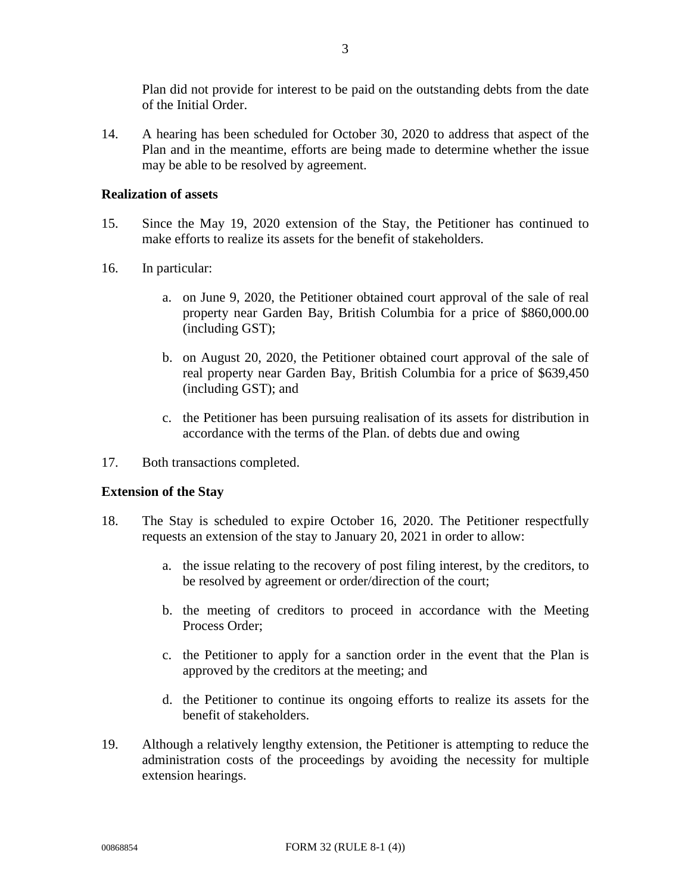Plan did not provide for interest to be paid on the outstanding debts from the date of the Initial Order.

14. A hearing has been scheduled for October 30, 2020 to address that aspect of the Plan and in the meantime, efforts are being made to determine whether the issue may be able to be resolved by agreement.

#### **Realization of assets**

- 15. Since the May 19, 2020 extension of the Stay, the Petitioner has continued to make efforts to realize its assets for the benefit of stakeholders.
- 16. In particular:
	- a. on June 9, 2020, the Petitioner obtained court approval of the sale of real property near Garden Bay, British Columbia for a price of \$860,000.00 (including GST);
	- b. on August 20, 2020, the Petitioner obtained court approval of the sale of real property near Garden Bay, British Columbia for a price of \$639,450 (including GST); and
	- c. the Petitioner has been pursuing realisation of its assets for distribution in accordance with the terms of the Plan. of debts due and owing
- 17. Both transactions completed.

### **Extension of the Stay**

- 18. The Stay is scheduled to expire October 16, 2020. The Petitioner respectfully requests an extension of the stay to January 20, 2021 in order to allow:
	- a. the issue relating to the recovery of post filing interest, by the creditors, to be resolved by agreement or order/direction of the court;
	- b. the meeting of creditors to proceed in accordance with the Meeting Process Order;
	- c. the Petitioner to apply for a sanction order in the event that the Plan is approved by the creditors at the meeting; and
	- d. the Petitioner to continue its ongoing efforts to realize its assets for the benefit of stakeholders.
- 19. Although a relatively lengthy extension, the Petitioner is attempting to reduce the administration costs of the proceedings by avoiding the necessity for multiple extension hearings.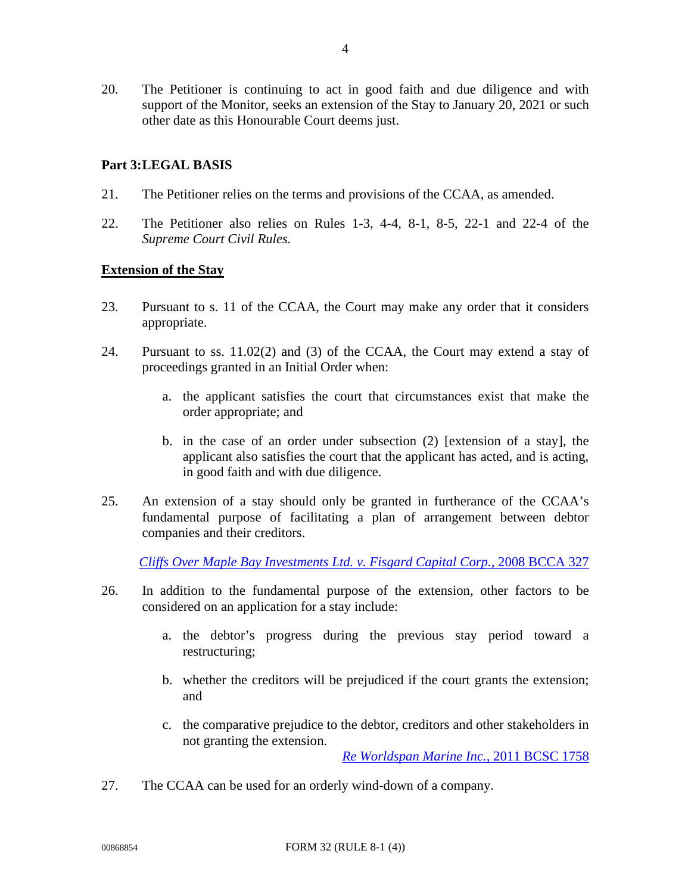# **Part 3:LEGAL BASIS**

- 21. The Petitioner relies on the terms and provisions of the CCAA, as amended.
- 22. The Petitioner also relies on Rules 1-3, 4-4, 8-1, 8-5, 22-1 and 22-4 of the *Supreme Court Civil Rules.*

### **Extension of the Stay**

- 23. Pursuant to s. 11 of the CCAA, the Court may make any order that it considers appropriate.
- 24. Pursuant to ss. 11.02(2) and (3) of the CCAA, the Court may extend a stay of proceedings granted in an Initial Order when:
	- a. the applicant satisfies the court that circumstances exist that make the order appropriate; and
	- b. in the case of an order under subsection (2) [extension of a stay], the applicant also satisfies the court that the applicant has acted, and is acting, in good faith and with due diligence.
- 25. An extension of a stay should only be granted in furtherance of the CCAA's fundamental purpose of facilitating a plan of arrangement between debtor companies and their creditors.

*[Cliffs Over Maple Bay Investments Ltd. v. Fisgard Capital Corp.,](https://www.canlii.org/en/bc/bcca/doc/2008/2008bcca327/2008bcca327.html?autocompleteStr=Cliffs%20Over%20Maple%20Bay%20Investments%20Ltd.%20v.%20Fisgard%20Capital%20Corp.%2C%202008%20BCCA%20327&autocompletePos=1)* 2008 BCCA 327

- 26. In addition to the fundamental purpose of the extension, other factors to be considered on an application for a stay include:
	- a. the debtor's progress during the previous stay period toward a restructuring;
	- b. whether the creditors will be prejudiced if the court grants the extension; and
	- c. the comparative prejudice to the debtor, creditors and other stakeholders in not granting the extension.

*[Re Worldspan Marine Inc.,](https://www.canlii.org/en/bc/bcsc/doc/2011/2011bcsc1758/2011bcsc1758.html?autocompleteStr=Re%20Worldspan%20Marine%20Inc.%2C%202011%20BCSC%201758&autocompletePos=1)* 2011 BCSC 1758

27. The CCAA can be used for an orderly wind-down of a company.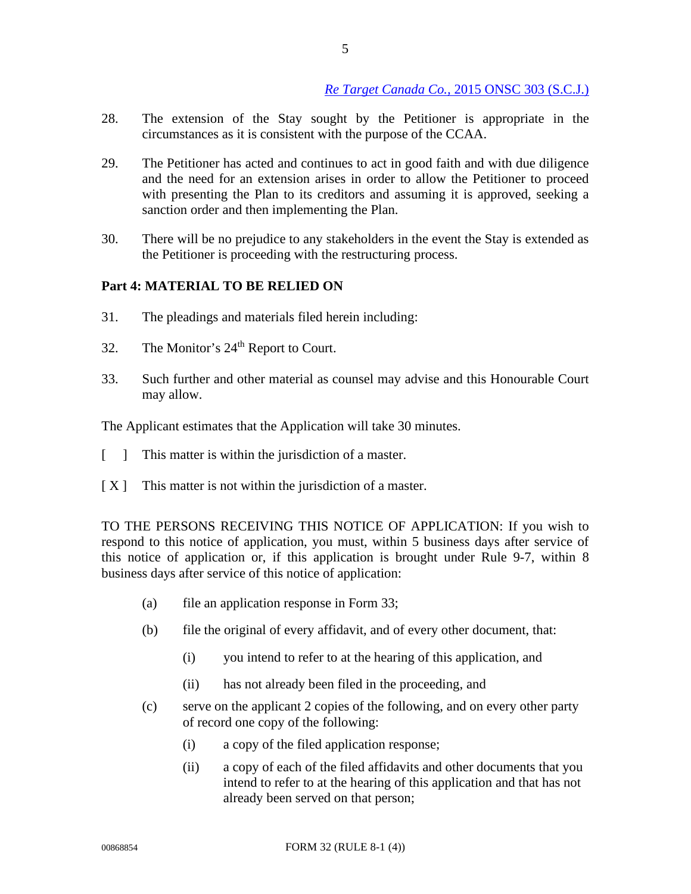- 28. The extension of the Stay sought by the Petitioner is appropriate in the circumstances as it is consistent with the purpose of the CCAA.
- 29. The Petitioner has acted and continues to act in good faith and with due diligence and the need for an extension arises in order to allow the Petitioner to proceed with presenting the Plan to its creditors and assuming it is approved, seeking a sanction order and then implementing the Plan.
- 30. There will be no prejudice to any stakeholders in the event the Stay is extended as the Petitioner is proceeding with the restructuring process.

# **Part 4: MATERIAL TO BE RELIED ON**

- 31. The pleadings and materials filed herein including:
- 32. The Monitor's 24<sup>th</sup> Report to Court.
- 33. Such further and other material as counsel may advise and this Honourable Court may allow.

The Applicant estimates that the Application will take 30 minutes.

- [ ] This matter is within the jurisdiction of a master.
- $[X]$  This matter is not within the jurisdiction of a master.

TO THE PERSONS RECEIVING THIS NOTICE OF APPLICATION: If you wish to respond to this notice of application, you must, within 5 business days after service of this notice of application or, if this application is brought under Rule 9-7, within 8 business days after service of this notice of application:

- (a) file an application response in Form 33;
- (b) file the original of every affidavit, and of every other document, that:
	- (i) you intend to refer to at the hearing of this application, and
	- (ii) has not already been filed in the proceeding, and
- (c) serve on the applicant 2 copies of the following, and on every other party of record one copy of the following:
	- (i) a copy of the filed application response;
	- (ii) a copy of each of the filed affidavits and other documents that you intend to refer to at the hearing of this application and that has not already been served on that person;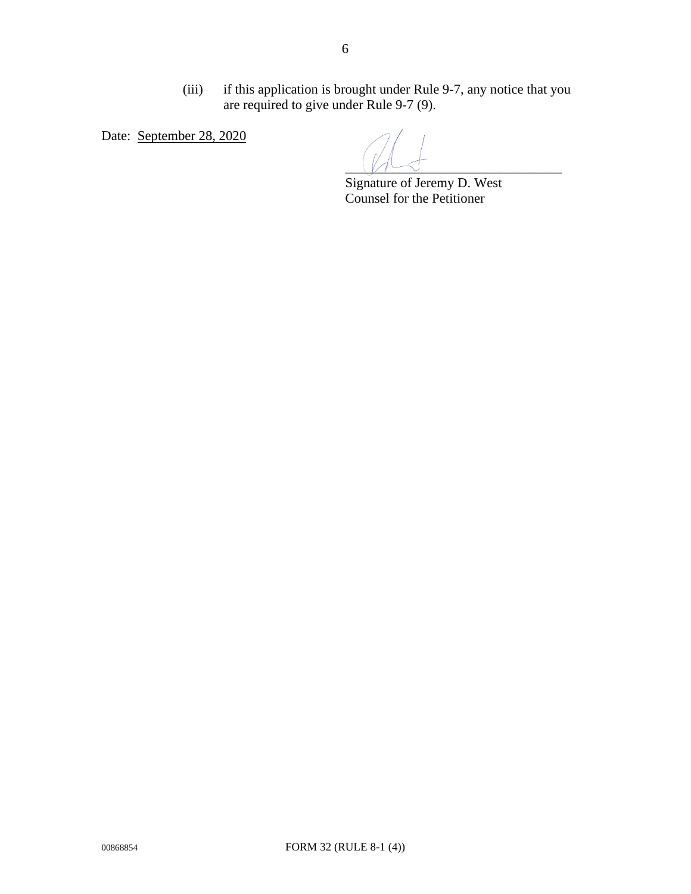(iii) if this application is brought under Rule 9-7, any notice that you are required to give under Rule 9-7 (9).

Date: September 28, 2020

 $\sqrt{1-\xi}$ 

 Signature of Jeremy D. West Counsel for the Petitioner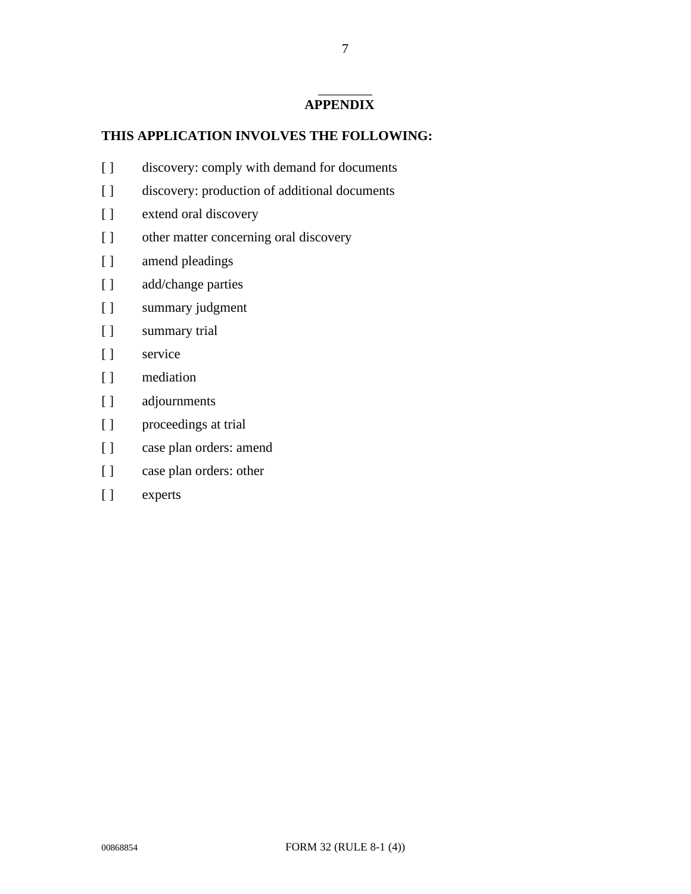#### \_\_\_\_\_\_\_\_ **APPENDIX**

## **THIS APPLICATION INVOLVES THE FOLLOWING:**

- [ ] discovery: comply with demand for documents
- [ ] discovery: production of additional documents
- [ ] extend oral discovery
- [ ] other matter concerning oral discovery
- [ ] amend pleadings
- [ ] add/change parties
- [ ] summary judgment
- [ ] summary trial
- [ ] service
- [ ] mediation
- [ ] adjournments
- [ ] proceedings at trial
- [ ] case plan orders: amend
- [ ] case plan orders: other
- [ ] experts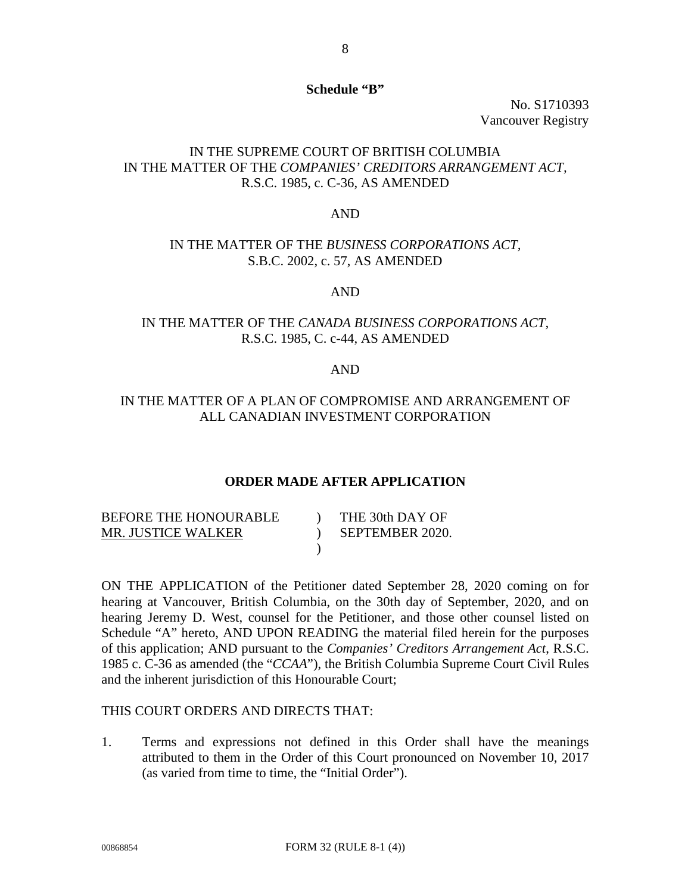#### **Schedule "B"**

No. S1710393 Vancouver Registry

# IN THE SUPREME COURT OF BRITISH COLUMBIA IN THE MATTER OF THE *COMPANIES' CREDITORS ARRANGEMENT ACT,* R.S.C. 1985, c. C-36, AS AMENDED

#### AND

### IN THE MATTER OF THE *BUSINESS CORPORATIONS ACT,* S.B.C. 2002, c. 57, AS AMENDED

### AND

# IN THE MATTER OF THE *CANADA BUSINESS CORPORATIONS ACT,*  R.S.C. 1985, C. c-44, AS AMENDED

#### AND

### IN THE MATTER OF A PLAN OF COMPROMISE AND ARRANGEMENT OF ALL CANADIAN INVESTMENT CORPORATION

#### **ORDER MADE AFTER APPLICATION**

| BEFORE THE HONOURABLE | THE 30th DAY OF |
|-----------------------|-----------------|
| MR. JUSTICE WALKER    | SEPTEMBER 2020. |
|                       |                 |

ON THE APPLICATION of the Petitioner dated September 28, 2020 coming on for hearing at Vancouver, British Columbia, on the 30th day of September, 2020, and on hearing Jeremy D. West, counsel for the Petitioner, and those other counsel listed on Schedule "A" hereto, AND UPON READING the material filed herein for the purposes of this application; AND pursuant to the *Companies' Creditors Arrangement Act*, R.S.C. 1985 c. C-36 as amended (the "*CCAA*"), the British Columbia Supreme Court Civil Rules and the inherent jurisdiction of this Honourable Court;

## THIS COURT ORDERS AND DIRECTS THAT:

1. Terms and expressions not defined in this Order shall have the meanings attributed to them in the Order of this Court pronounced on November 10, 2017 (as varied from time to time, the "Initial Order").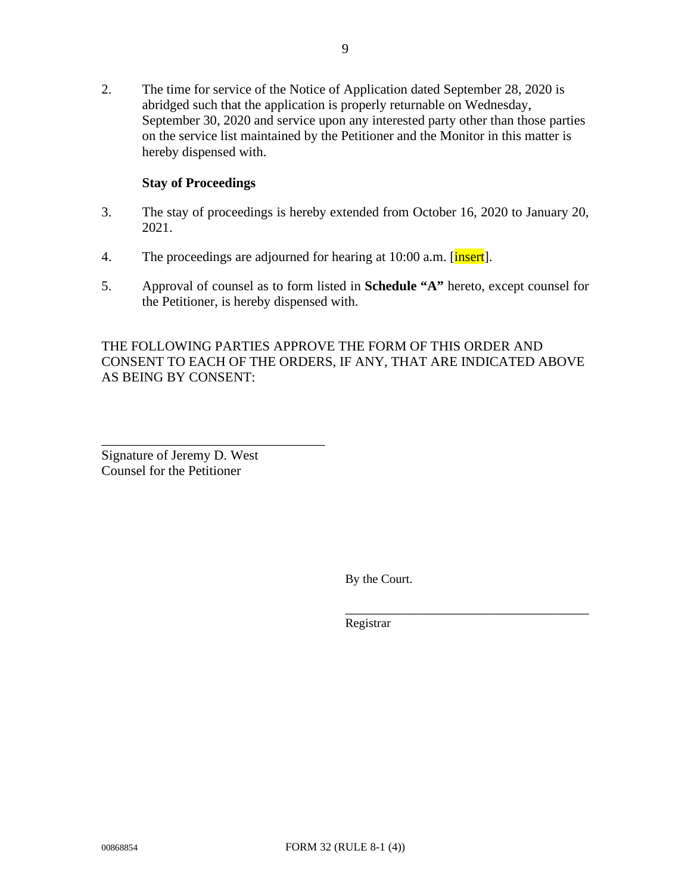2. The time for service of the Notice of Application dated September 28, 2020 is abridged such that the application is properly returnable on Wednesday, September 30, 2020 and service upon any interested party other than those parties on the service list maintained by the Petitioner and the Monitor in this matter is hereby dispensed with.

### **Stay of Proceedings**

- 3. The stay of proceedings is hereby extended from October 16, 2020 to January 20, 2021.
- 4. The proceedings are adjourned for hearing at 10:00 a.m. [insert].
- 5. Approval of counsel as to form listed in **Schedule "A"** hereto, except counsel for the Petitioner, is hereby dispensed with.

THE FOLLOWING PARTIES APPROVE THE FORM OF THIS ORDER AND CONSENT TO EACH OF THE ORDERS, IF ANY, THAT ARE INDICATED ABOVE AS BEING BY CONSENT:

Signature of Jeremy D. West Counsel for the Petitioner

\_\_\_\_\_\_\_\_\_\_\_\_\_\_\_\_\_\_\_\_\_\_\_\_\_\_\_\_\_\_\_\_\_

By the Court.

\_\_\_\_\_\_\_\_\_\_\_\_\_\_\_\_\_\_\_\_\_\_\_\_\_\_\_\_\_\_\_\_\_\_\_\_

Registrar